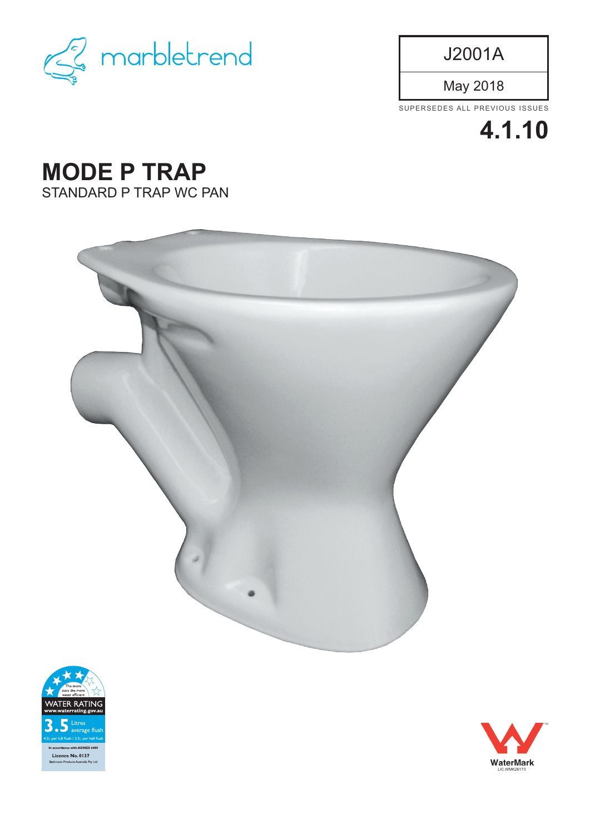

J2001A

May 2018

SUPERSEDES ALL PREVIOUS ISSUES



## **MODE P TRAP** STANDARD P TRAP WC PAN